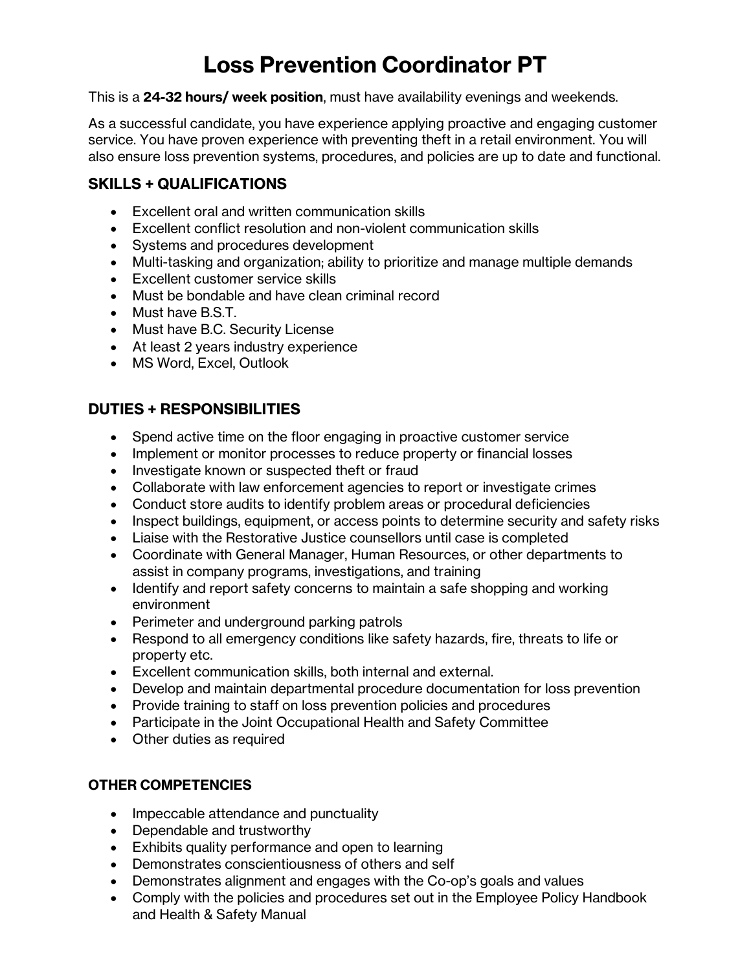# **Loss Prevention Coordinator PT**

This is a **24-32 hours/ week position**, must have availability evenings and weekends.

As a successful candidate, you have experience applying proactive and engaging customer service. You have proven experience with preventing theft in a retail environment. You will also ensure loss prevention systems, procedures, and policies are up to date and functional.

## **SKILLS + QUALIFICATIONS**

- Excellent oral and written communication skills
- Excellent conflict resolution and non-violent communication skills
- Systems and procedures development
- Multi-tasking and organization; ability to prioritize and manage multiple demands
- Excellent customer service skills
- Must be bondable and have clean criminal record
- Must have B.S.T.
- Must have B.C. Security License
- At least 2 years industry experience
- MS Word, Excel, Outlook

## **DUTIES + RESPONSIBILITIES**

- Spend active time on the floor engaging in proactive customer service
- Implement or monitor processes to reduce property or financial losses
- Investigate known or suspected theft or fraud
- Collaborate with law enforcement agencies to report or investigate crimes
- Conduct store audits to identify problem areas or procedural deficiencies
- Inspect buildings, equipment, or access points to determine security and safety risks
- Liaise with the Restorative Justice counsellors until case is completed
- Coordinate with General Manager, Human Resources, or other departments to assist in company programs, investigations, and training
- Identify and report safety concerns to maintain a safe shopping and working environment
- Perimeter and underground parking patrols
- Respond to all emergency conditions like safety hazards, fire, threats to life or property etc.
- Excellent communication skills, both internal and external.
- Develop and maintain departmental procedure documentation for loss prevention
- Provide training to staff on loss prevention policies and procedures
- Participate in the Joint Occupational Health and Safety Committee
- Other duties as required

#### **OTHER COMPETENCIES**

- Impeccable attendance and punctuality
- Dependable and trustworthy
- Exhibits quality performance and open to learning
- Demonstrates conscientiousness of others and self
- Demonstrates alignment and engages with the Co-op's goals and values
- Comply with the policies and procedures set out in the Employee Policy Handbook and Health & Safety Manual